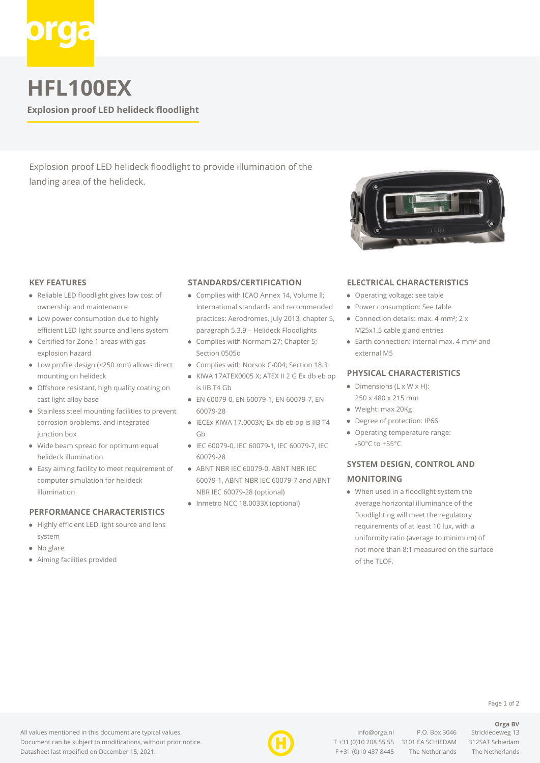

**HFL100EX**

**Explosion proof LED helideck floodlight**

Explosion proof LED helideck floodlight to provide illumination of the landing area of the helideck.

#### **KEY FEATURES**

- Reliable LED floodlight gives low cost of ownership and maintenance
- Low power consumption due to highly efficient LED light source and lens system
- Certified for Zone 1 areas with gas explosion hazard
- Low profile design (<250 mm) allows direct mounting on helideck
- Offshore resistant, high quality coating on cast light alloy base
- Stainless steel mounting facilities to prevent corrosion problems, and integrated junction box
- Wide beam spread for optimum equal helideck illumination
- Easy aiming facility to meet requirement of computer simulation for helideck illumination

### **PERFORMANCE CHARACTERISTICS**

- Highly efficient LED light source and lens system
- No glare
- Aiming facilities provided

#### **STANDARDS/CERTIFICATION**

- Complies with ICAO Annex 14, Volume II: International standards and recommended practices: Aerodromes, July 2013, chapter 5, paragraph 5.3.9 – Helideck Floodlights
- Complies with Normam 27; Chapter 5; Section 0505d
- Complies with Norsok C-004; Section 18.3
- KIWA 17ATEX0005 X; ATEX II 2 G Ex db eb op is IIB T4 Gb
- EN 60079-0, EN 60079-1, EN 60079-7, EN 60079-28
- IECEx KIWA 17.0003X; Ex db eb op is IIB T4 Gb
- IEC 60079-0, IEC 60079-1, IEC 60079-7, IEC 60079-28
- ABNT NBR IEC 60079-0, ABNT NBR IEC 60079-1, ABNT NBR IEC 60079-7 and ABNT NBR IEC 60079-28 (optional)
- Inmetro NCC 18.0033X (optional)



#### **ELECTRICAL CHARACTERISTICS**

- Operating voltage: see table
- Power consumption: See table
- Connection details: max. 4 mm<sup>2</sup>;  $2 \times$ M25x1,5 cable gland entries
- Earth connection: internal max. 4 mm² and external M5

### **PHYSICAL CHARACTERISTICS**

- $\bullet$  Dimensions (L x W x H):
- 250 x 480 x 215 mm
- Weight: max 20Kg
- Degree of protection: IP66
- Operating temperature range: -50°C to +55°C

## **SYSTEM DESIGN, CONTROL AND MONITORING**

When used in a floodlight system the average horizontal illuminance of the floodlighting will meet the regulatory requirements of at least 10 lux, with a uniformity ratio (average to minimum) of not more than 8:1 measured on the surface of the TLOF.

All values mentioned in this document are typical values. Document can be subject to modifications, without prior notice. Datasheet last modified on December 15, 2021.



[info@orga.nl](mailto:info@orga.nl) P.O. Box 3046 Strickledeweg 13 T [+31 \(0\)10 208 55 55](#page--1-0) 3101 EA SCHIEDAM 3125AT Schiedam F +31 (0)10 437 8445 The Netherlands The Netherlands

**Orga BV**